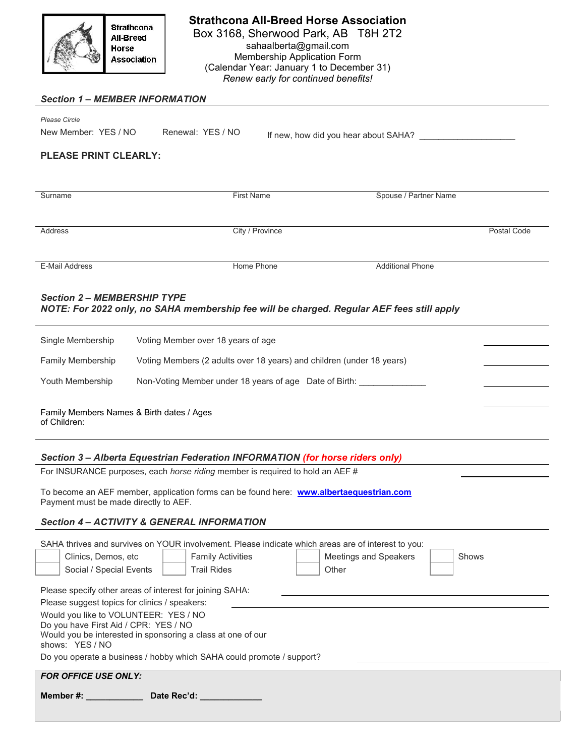

#### Strathcona All-Breed Horse Association Box 3168, Sherwood Park, AB T8H 2T2 sahaalberta@gmail.com Membership Application Form (Calendar Year: January 1 to December 31) Renew early for continued benefits!

#### Section 1 – MEMBER INFORMATION

| Please Circle        |                   |                                      |  |
|----------------------|-------------------|--------------------------------------|--|
| New Member: YES / NO | Renewal: YES / NO | If new, how did you hear about SAHA? |  |

### PLEASE PRINT CLEARLY:

| Surname               | <b>First Name</b> | Spouse / Partner Name   |             |
|-----------------------|-------------------|-------------------------|-------------|
|                       |                   |                         |             |
|                       |                   |                         |             |
|                       |                   |                         |             |
|                       |                   |                         |             |
|                       |                   |                         |             |
| Address               | City / Province   |                         | Postal Code |
|                       |                   |                         |             |
|                       |                   |                         |             |
|                       |                   |                         |             |
|                       |                   |                         |             |
|                       |                   |                         |             |
| <b>E-Mail Address</b> | Home Phone        | <b>Additional Phone</b> |             |
|                       |                   |                         |             |
|                       |                   |                         |             |
|                       |                   |                         |             |

#### Section 2 – MEMBERSHIP TYPE NOTE: For 2022 only, no SAHA membership fee will be charged. Regular AEF fees still apply

| Single Membership                                         | Voting Member over 18 years of age                                    |
|-----------------------------------------------------------|-----------------------------------------------------------------------|
| <b>Family Membership</b>                                  | Voting Members (2 adults over 18 years) and children (under 18 years) |
| Youth Membership                                          | Non-Voting Member under 18 years of age Date of Birth:                |
| Family Members Names & Birth dates / Ages<br>of Children: |                                                                       |

## Section 3 – Alberta Equestrian Federation INFORMATION (for horse riders only)

For INSURANCE purposes, each *horse riding* member is required to hold an AEF #

To become an AEF member, application forms can be found here: www.albertaequestrian.com Payment must be made directly to AEF.

#### Section 4 – ACTIVITY & GENERAL INFORMATION

|                                                                                                                                                                                                                                                                               |                                                                       | SAHA thrives and survives on YOUR involvement. Please indicate which areas are of interest to you: |       |
|-------------------------------------------------------------------------------------------------------------------------------------------------------------------------------------------------------------------------------------------------------------------------------|-----------------------------------------------------------------------|----------------------------------------------------------------------------------------------------|-------|
| Clinics, Demos, etc.                                                                                                                                                                                                                                                          | <b>Family Activities</b>                                              | Meetings and Speakers                                                                              | Shows |
| Social / Special Events                                                                                                                                                                                                                                                       | <b>Trail Rides</b>                                                    | Other                                                                                              |       |
| Please specify other areas of interest for joining SAHA:<br>Please suggest topics for clinics / speakers:<br>Would you like to VOLUNTEER: YES / NO<br>Do you have First Aid / CPR: YES / NO<br>Would you be interested in sponsoring a class at one of our<br>shows: YES / NO |                                                                       |                                                                                                    |       |
|                                                                                                                                                                                                                                                                               | Do you operate a business / hobby which SAHA could promote / support? |                                                                                                    |       |
| <b>FOR OFFICE USE ONLY:</b>                                                                                                                                                                                                                                                   |                                                                       |                                                                                                    |       |
| <b>Member #:</b> And the second second second second second second second second second second second second second second second second second second second second second second second second second second second second second                                           | Date Rec'd:                                                           |                                                                                                    |       |